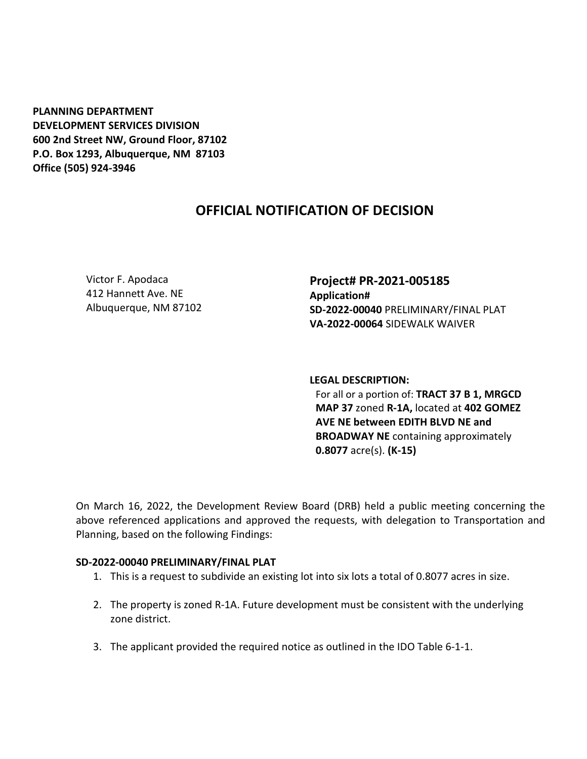**PLANNING DEPARTMENT DEVELOPMENT SERVICES DIVISION 600 2nd Street NW, Ground Floor, 87102 P.O. Box 1293, Albuquerque, NM 87103 Office (505) 924-3946** 

## **OFFICIAL NOTIFICATION OF DECISION**

Victor F. Apodaca 412 Hannett Ave. NE Albuquerque, NM 87102 **Project# PR-2021-005185 Application# SD-2022-00040** PRELIMINARY/FINAL PLAT **VA-2022-00064** SIDEWALK WAIVER

**LEGAL DESCRIPTION:** For all or a portion of: **TRACT 37 B 1, MRGCD MAP 37** zoned **R-1A,** located at **402 GOMEZ AVE NE between EDITH BLVD NE and BROADWAY NE** containing approximately **0.8077** acre(s). **(K-15)**

On March 16, 2022, the Development Review Board (DRB) held a public meeting concerning the above referenced applications and approved the requests, with delegation to Transportation and Planning, based on the following Findings:

## **SD-2022-00040 PRELIMINARY/FINAL PLAT**

- 1. This is a request to subdivide an existing lot into six lots a total of 0.8077 acres in size.
- 2. The property is zoned R-1A. Future development must be consistent with the underlying zone district.
- 3. The applicant provided the required notice as outlined in the IDO Table 6-1-1.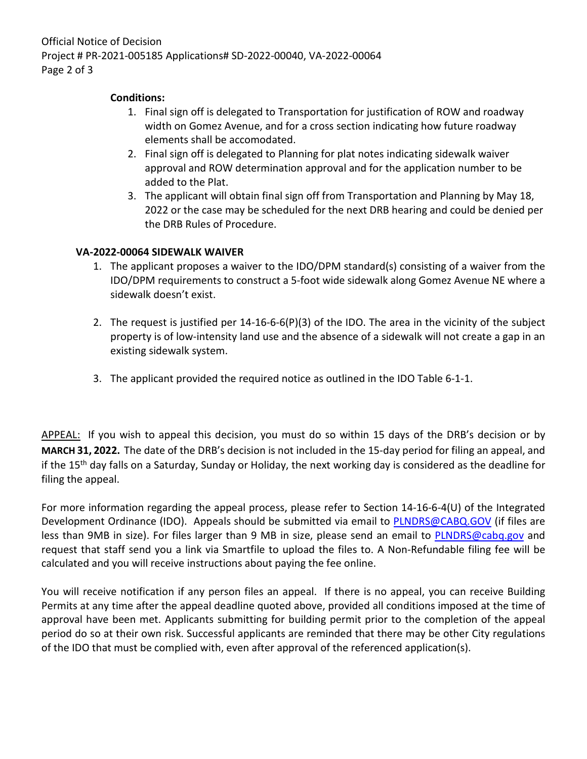## **Conditions:**

- 1. Final sign off is delegated to Transportation for justification of ROW and roadway width on Gomez Avenue, and for a cross section indicating how future roadway elements shall be accomodated.
- 2. Final sign off is delegated to Planning for plat notes indicating sidewalk waiver approval and ROW determination approval and for the application number to be added to the Plat.
- 3. The applicant will obtain final sign off from Transportation and Planning by May 18, 2022 or the case may be scheduled for the next DRB hearing and could be denied per the DRB Rules of Procedure.

## **VA-2022-00064 SIDEWALK WAIVER**

- 1. The applicant proposes a waiver to the IDO/DPM standard(s) consisting of a waiver from the IDO/DPM requirements to construct a 5-foot wide sidewalk along Gomez Avenue NE where a sidewalk doesn't exist.
- 2. The request is justified per 14-16-6-6(P)(3) of the IDO. The area in the vicinity of the subject property is of low-intensity land use and the absence of a sidewalk will not create a gap in an existing sidewalk system.
- 3. The applicant provided the required notice as outlined in the IDO Table 6-1-1.

APPEAL: If you wish to appeal this decision, you must do so within 15 days of the DRB's decision or by **MARCH 31, 2022.** The date of the DRB's decision is not included in the 15-day period for filing an appeal, and if the 15th day falls on a Saturday, Sunday or Holiday, the next working day is considered as the deadline for filing the appeal.

For more information regarding the appeal process, please refer to Section 14-16-6-4(U) of the Integrated Development Ordinance (IDO). Appeals should be submitted via email to **PLNDRS@CABQ.GOV** (if files are less than 9MB in size). For files larger than 9 MB in size, please send an email to **PLNDRS@cabq.gov** and request that staff send you a link via Smartfile to upload the files to. A Non-Refundable filing fee will be calculated and you will receive instructions about paying the fee online.

You will receive notification if any person files an appeal. If there is no appeal, you can receive Building Permits at any time after the appeal deadline quoted above, provided all conditions imposed at the time of approval have been met. Applicants submitting for building permit prior to the completion of the appeal period do so at their own risk. Successful applicants are reminded that there may be other City regulations of the IDO that must be complied with, even after approval of the referenced application(s).